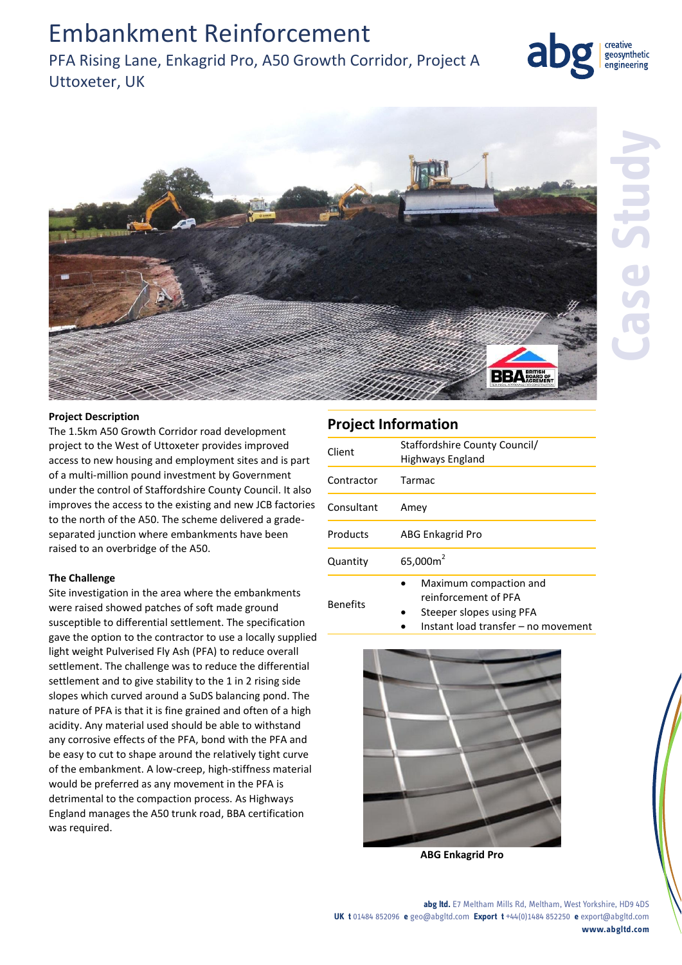## Embankment Reinforcement

## PFA Rising Lane, Enkagrid Pro, A50 Growth Corridor, Project A Uttoxeter, UK



creative geosynthetic engineering

#### **Project Description**

The 1.5km A50 Growth Corridor road development project to the West of Uttoxeter provides improved access to new housing and employment sites and is part of a multi-million pound investment by Government under the control of Staffordshire County Council. It also improves the access to the existing and new JCB factories to the north of the A50. The scheme delivered a gradeseparated junction where embankments have been raised to an overbridge of the A50.

### **The Challenge**

Site investigation in the area where the embankments were raised showed patches of soft made ground susceptible to differential settlement. The specification gave the option to the contractor to use a locally supplied light weight Pulverised Fly Ash (PFA) to reduce overall settlement. The challenge was to reduce the differential settlement and to give stability to the 1 in 2 rising side slopes which curved around a SuDS balancing pond. The nature of PFA is that it is fine grained and often of a high acidity. Any material used should be able to withstand any corrosive effects of the PFA, bond with the PFA and be easy to cut to shape around the relatively tight curve of the embankment. A low-creep, high-stiffness material would be preferred as any movement in the PFA is detrimental to the compaction process. As Highways England manages the A50 trunk road, BBA certification was required.

## **Project Information**

| Client          | Staffordshire County Council/<br>Highways England                                                                 |
|-----------------|-------------------------------------------------------------------------------------------------------------------|
| Contractor      | <b>Tarmac</b>                                                                                                     |
| Consultant      | Amey                                                                                                              |
| Products        | ABG Enkagrid Pro                                                                                                  |
| Quantity        | 65,000m <sup>2</sup>                                                                                              |
| <b>Benefits</b> | Maximum compaction and<br>reinforcement of PFA<br>Steeper slopes using PFA<br>Instant load transfer – no movement |



**ABG Enkagrid Pro**